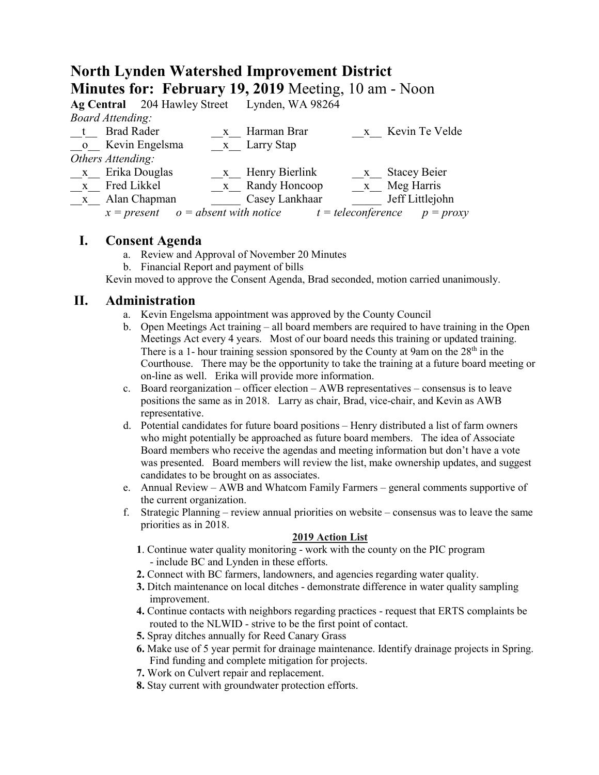# **North Lynden Watershed Improvement District Minutes for: February 19, 2019** Meeting, 10 am - Noon

|                         |                                        | Ag Central 204 Hawley Street Lynden, WA 98264 |                      |                     |
|-------------------------|----------------------------------------|-----------------------------------------------|----------------------|---------------------|
| <b>Board Attending:</b> |                                        |                                               |                      |                     |
|                         | <b>Brad Rader</b>                      | x Harman Brar                                 |                      | x Kevin Te Velde    |
|                         | o Kevin Engelsma                       | x Larry Stap                                  |                      |                     |
| Others Attending:       |                                        |                                               |                      |                     |
| x Erika Douglas         |                                        | x Henry Bierlink                              | $X_{-}$              | <b>Stacey Beier</b> |
| x Fred Likkel           |                                        | x Randy Honcoop                               |                      | x Meg Harris        |
| $\mathbf{X}$            | Alan Chapman                           | Casey Lankhaar                                |                      | Jeff Littlejohn     |
|                         | $x = present$ $o = absent$ with notice |                                               | $t = teleconference$ | $p = proxy$         |
|                         |                                        |                                               |                      |                     |

## **I. Consent Agenda**

- a. Review and Approval of November 20 Minutes
- b. Financial Report and payment of bills

Kevin moved to approve the Consent Agenda, Brad seconded, motion carried unanimously.

## **II. Administration**

- a. Kevin Engelsma appointment was approved by the County Council
- b. Open Meetings Act training all board members are required to have training in the Open Meetings Act every 4 years. Most of our board needs this training or updated training. There is a 1- hour training session sponsored by the County at 9am on the  $28<sup>th</sup>$  in the Courthouse. There may be the opportunity to take the training at a future board meeting or on-line as well. Erika will provide more information.
- c. Board reorganization officer election AWB representatives consensus is to leave positions the same as in 2018. Larry as chair, Brad, vice-chair, and Kevin as AWB representative.
- d. Potential candidates for future board positions Henry distributed a list of farm owners who might potentially be approached as future board members. The idea of Associate Board members who receive the agendas and meeting information but don't have a vote was presented. Board members will review the list, make ownership updates, and suggest candidates to be brought on as associates.
- e. Annual Review AWB and Whatcom Family Farmers general comments supportive of the current organization.
- f. Strategic Planning review annual priorities on website consensus was to leave the same priorities as in 2018.

#### **2019 Action List**

- **1**. Continue water quality monitoring work with the county on the PIC program - include BC and Lynden in these efforts.
- **2.** Connect with BC farmers, landowners, and agencies regarding water quality.
- **3.** Ditch maintenance on local ditches demonstrate difference in water quality sampling improvement.
- **4.** Continue contacts with neighbors regarding practices request that ERTS complaints be routed to the NLWID - strive to be the first point of contact.
- **5.** Spray ditches annually for Reed Canary Grass
- **6.** Make use of 5 year permit for drainage maintenance. Identify drainage projects in Spring. Find funding and complete mitigation for projects.
- **7.** Work on Culvert repair and replacement.
- **8.** Stay current with groundwater protection efforts.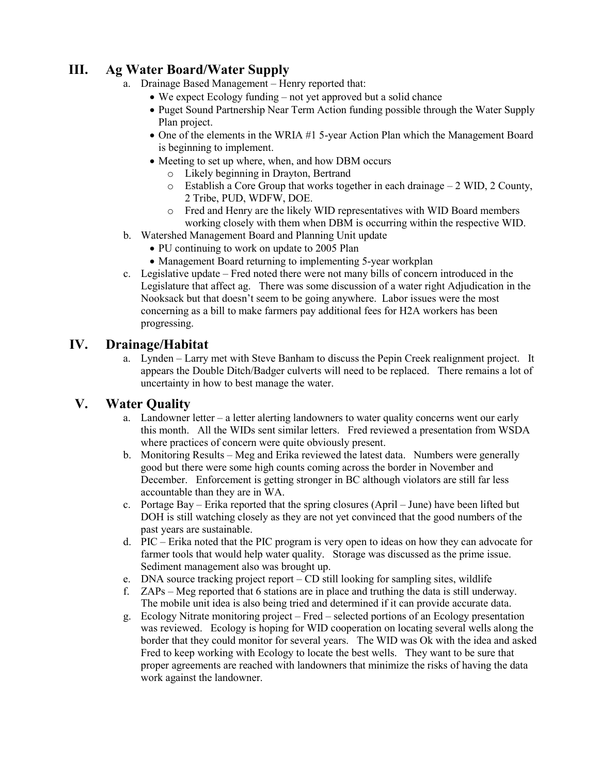# **III. Ag Water Board/Water Supply**

- a. Drainage Based Management Henry reported that:
	- We expect Ecology funding not yet approved but a solid chance
	- Puget Sound Partnership Near Term Action funding possible through the Water Supply Plan project.
	- One of the elements in the WRIA #1 5-year Action Plan which the Management Board is beginning to implement.
	- Meeting to set up where, when, and how DBM occurs
		- o Likely beginning in Drayton, Bertrand
		- o Establish a Core Group that works together in each drainage 2 WID, 2 County, 2 Tribe, PUD, WDFW, DOE.
		- o Fred and Henry are the likely WID representatives with WID Board members working closely with them when DBM is occurring within the respective WID.
- b. Watershed Management Board and Planning Unit update
	- PU continuing to work on update to 2005 Plan
	- Management Board returning to implementing 5-year workplan
- c. Legislative update Fred noted there were not many bills of concern introduced in the Legislature that affect ag. There was some discussion of a water right Adjudication in the Nooksack but that doesn't seem to be going anywhere. Labor issues were the most concerning as a bill to make farmers pay additional fees for H2A workers has been progressing.

### **IV. Drainage/Habitat**

a. Lynden – Larry met with Steve Banham to discuss the Pepin Creek realignment project. It appears the Double Ditch/Badger culverts will need to be replaced. There remains a lot of uncertainty in how to best manage the water.

### **V. Water Quality**

- a. Landowner letter a letter alerting landowners to water quality concerns went our early this month. All the WIDs sent similar letters. Fred reviewed a presentation from WSDA where practices of concern were quite obviously present.
- b. Monitoring Results Meg and Erika reviewed the latest data. Numbers were generally good but there were some high counts coming across the border in November and December. Enforcement is getting stronger in BC although violators are still far less accountable than they are in WA.
- c. Portage Bay Erika reported that the spring closures (April June) have been lifted but DOH is still watching closely as they are not yet convinced that the good numbers of the past years are sustainable.
- d. PIC Erika noted that the PIC program is very open to ideas on how they can advocate for farmer tools that would help water quality. Storage was discussed as the prime issue. Sediment management also was brought up.
- e. DNA source tracking project report CD still looking for sampling sites, wildlife
- f. ZAPs Meg reported that 6 stations are in place and truthing the data is still underway. The mobile unit idea is also being tried and determined if it can provide accurate data.
- g. Ecology Nitrate monitoring project Fred selected portions of an Ecology presentation was reviewed. Ecology is hoping for WID cooperation on locating several wells along the border that they could monitor for several years. The WID was Ok with the idea and asked Fred to keep working with Ecology to locate the best wells. They want to be sure that proper agreements are reached with landowners that minimize the risks of having the data work against the landowner.